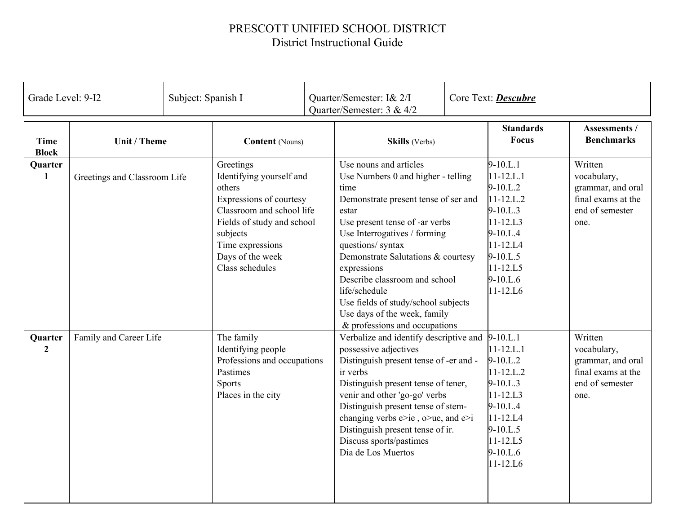## PRESCOTT UNIFIED SCHOOL DISTRICT District Instructional Guide

| Grade Level: 9-I2         |                              | Subject: Spanish I                                                                                                                                                                                           |                        | Quarter/Semester: I& 2/I<br>Quarter/Semester: 3 & 4/2                                                                                                                                                                                                                                                                                                                                                                       |  | Core Text: Descubre                                                                                                                                                                         |                                                                                              |
|---------------------------|------------------------------|--------------------------------------------------------------------------------------------------------------------------------------------------------------------------------------------------------------|------------------------|-----------------------------------------------------------------------------------------------------------------------------------------------------------------------------------------------------------------------------------------------------------------------------------------------------------------------------------------------------------------------------------------------------------------------------|--|---------------------------------------------------------------------------------------------------------------------------------------------------------------------------------------------|----------------------------------------------------------------------------------------------|
| Time<br><b>Block</b>      | <b>Unit / Theme</b>          |                                                                                                                                                                                                              | <b>Content</b> (Nouns) | <b>Skills</b> (Verbs)                                                                                                                                                                                                                                                                                                                                                                                                       |  | <b>Standards</b><br><b>Focus</b>                                                                                                                                                            | Assessments /<br><b>Benchmarks</b>                                                           |
| Quarter<br>$\mathbf{1}$   | Greetings and Classroom Life | Greetings<br>Identifying yourself and<br>others<br>Expressions of courtesy<br>Classroom and school life<br>Fields of study and school<br>subjects<br>Time expressions<br>Days of the week<br>Class schedules |                        | Use nouns and articles<br>Use Numbers 0 and higher - telling<br>time<br>Demonstrate present tense of ser and<br>estar<br>Use present tense of -ar verbs<br>Use Interrogatives / forming<br>questions/ syntax<br>Demonstrate Salutations & courtesy<br>expressions<br>Describe classroom and school<br>life/schedule<br>Use fields of study/school subjects<br>Use days of the week, family<br>& professions and occupations |  | $9-10.L.1$<br>$11 - 12$ .L.1<br>$9 - 10.L.2$<br>$11 - 12.L.2$<br>$9 - 10.L.3$<br>$11 - 12$ .L3<br>$9 - 10.L.4$<br>$11 - 12.L4$<br>$9 - 10.L.5$<br>$11 - 12.L5$<br>$9 - 10$ .L.6<br>11-12.L6 | Written<br>vocabulary,<br>grammar, and oral<br>final exams at the<br>end of semester<br>one. |
| Quarter<br>$\overline{2}$ | Family and Career Life       | The family<br>Identifying people<br>Professions and occupations<br>Pastimes<br><b>Sports</b><br>Places in the city                                                                                           |                        | Verbalize and identify descriptive and<br>possessive adjectives<br>Distinguish present tense of -er and -<br>ir verbs<br>Distinguish present tense of tener,<br>venir and other 'go-go' verbs<br>Distinguish present tense of stem-<br>changing verbs $e > ie$ , $o > ue$ , and $e > i$<br>Distinguish present tense of ir.<br>Discuss sports/pastimes<br>Dia de Los Muertos                                                |  | $9-10.L.1$<br>$11 - 12$ .L.1<br>$9-10.L.2$<br>$11 - 12$ .L.2<br>$9 - 10.L.3$<br>$11 - 12.L3$<br>$9-10.L.4$<br>$11 - 12.L4$<br>9-10.L.5<br>$11 - 12$ .L5<br>$9 - 10$ .L.6<br>11-12.L6        | Written<br>vocabulary,<br>grammar, and oral<br>final exams at the<br>end of semester<br>one. |